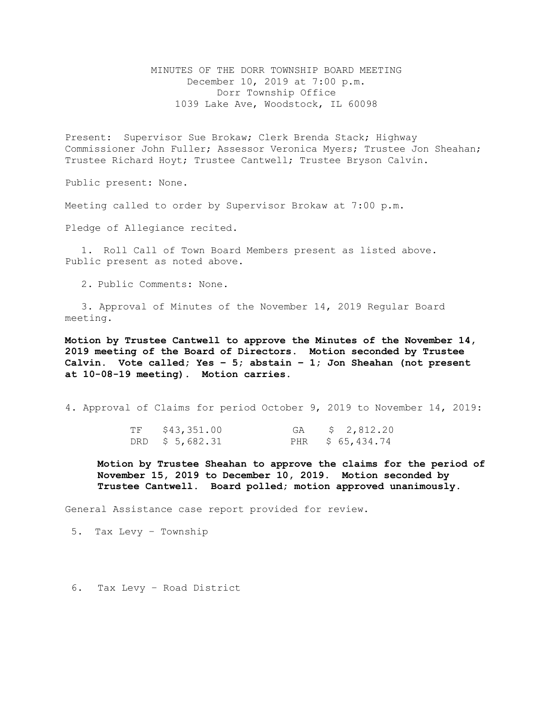MINUTES OF THE DORR TOWNSHIP BOARD MEETING December 10, 2019 at 7:00 p.m. Dorr Township Office 1039 Lake Ave, Woodstock, IL 60098

Present: Supervisor Sue Brokaw; Clerk Brenda Stack; Highway Commissioner John Fuller; Assessor Veronica Myers; Trustee Jon Sheahan; Trustee Richard Hoyt; Trustee Cantwell; Trustee Bryson Calvin.

Public present: None.

Meeting called to order by Supervisor Brokaw at 7:00 p.m.

Pledge of Allegiance recited.

1. Roll Call of Town Board Members present as listed above. Public present as noted above.

2. Public Comments: None.

3. Approval of Minutes of the November 14, 2019 Regular Board meeting.

**Motion by Trustee Cantwell to approve the Minutes of the November 14, 2019 meeting of the Board of Directors. Motion seconded by Trustee Calvin. Vote called; Yes – 5; abstain – 1; Jon Sheahan (not present at 10-08-19 meeting). Motion carries.** 

4. Approval of Claims for period October 9, 2019 to November 14, 2019:

| TF | \$43,351.00     | GA | \$2,812.20       |
|----|-----------------|----|------------------|
|    | DRD \$ 5,682.31 |    | PHR \$ 65,434.74 |

**Motion by Trustee Sheahan to approve the claims for the period of November 15, 2019 to December 10, 2019. Motion seconded by Trustee Cantwell. Board polled; motion approved unanimously.**

General Assistance case report provided for review.

5. Tax Levy – Township

6. Tax Levy – Road District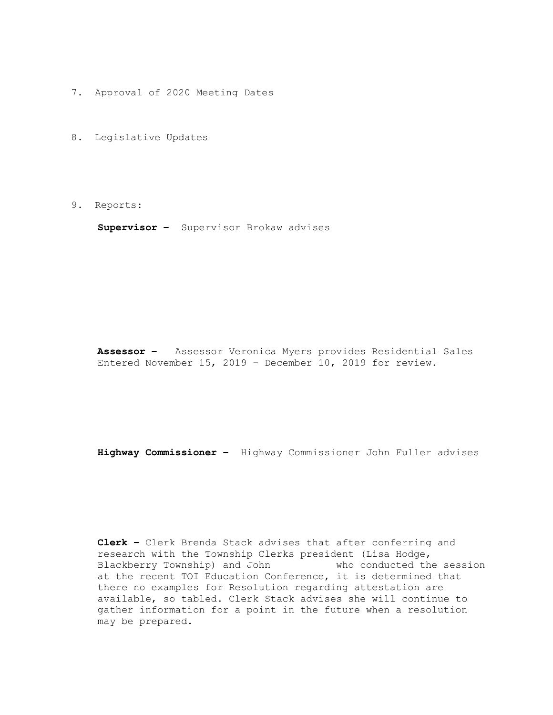- 7. Approval of 2020 Meeting Dates
- 8. Legislative Updates
- 9. Reports:

**Supervisor –** Supervisor Brokaw advises

**Assessor –** Assessor Veronica Myers provides Residential Sales Entered November 15, 2019 – December 10, 2019 for review.

**Highway Commissioner –** Highway Commissioner John Fuller advises

**Clerk –** Clerk Brenda Stack advises that after conferring and research with the Township Clerks president (Lisa Hodge,<br>Blackberry Township) and John who conducted the session Blackberry Township) and John at the recent TOI Education Conference, it is determined that there no examples for Resolution regarding attestation are available, so tabled. Clerk Stack advises she will continue to gather information for a point in the future when a resolution may be prepared.